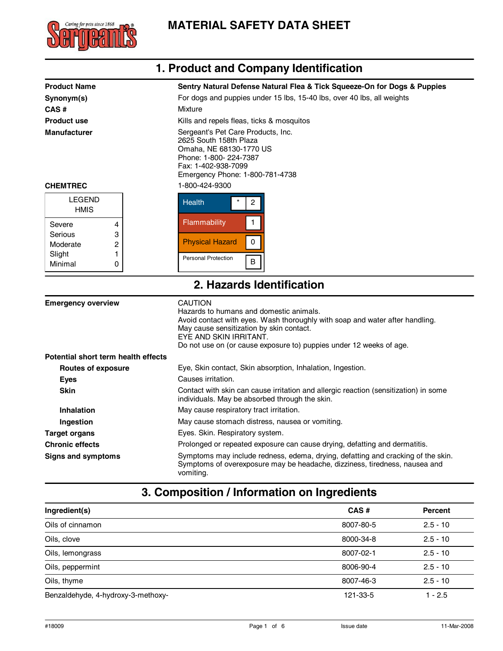

|                                                                                                                                                                                                                                                                                                                                                                                                                                                                                     | 1. Product and Company Identification                                                                                                                                                                                                                                                  |  |
|-------------------------------------------------------------------------------------------------------------------------------------------------------------------------------------------------------------------------------------------------------------------------------------------------------------------------------------------------------------------------------------------------------------------------------------------------------------------------------------|----------------------------------------------------------------------------------------------------------------------------------------------------------------------------------------------------------------------------------------------------------------------------------------|--|
| <b>Product Name</b><br>Sentry Natural Defense Natural Flea & Tick Squeeze-On for Dogs & Puppies<br>For dogs and puppies under 15 lbs, 15-40 lbs, over 40 lbs, all weights<br>Synonym(s)<br>CAS#<br>Mixture<br><b>Product use</b><br>Kills and repels fleas, ticks & mosquitos<br><b>Manufacturer</b><br>Sergeant's Pet Care Products, Inc.<br>2625 South 158th Plaza<br>Omaha, NE 68130-1770 US<br>Phone: 1-800- 224-7387<br>Fax: 1-402-938-7099<br>Emergency Phone: 1-800-781-4738 |                                                                                                                                                                                                                                                                                        |  |
| <b>CHEMTREC</b>                                                                                                                                                                                                                                                                                                                                                                                                                                                                     | 1-800-424-9300                                                                                                                                                                                                                                                                         |  |
| <b>LEGEND</b><br><b>HMIS</b>                                                                                                                                                                                                                                                                                                                                                                                                                                                        | <b>Health</b><br>$\boldsymbol{2}$                                                                                                                                                                                                                                                      |  |
| Severe<br>4<br>Serious<br>3<br>2<br>Moderate                                                                                                                                                                                                                                                                                                                                                                                                                                        | 1<br>Flammability<br>0<br><b>Physical Hazard</b>                                                                                                                                                                                                                                       |  |
| Slight<br>1<br>Minimal<br>0                                                                                                                                                                                                                                                                                                                                                                                                                                                         | Personal Protection<br>$\sf B$                                                                                                                                                                                                                                                         |  |
|                                                                                                                                                                                                                                                                                                                                                                                                                                                                                     | 2. Hazards Identification                                                                                                                                                                                                                                                              |  |
| <b>Emergency overview</b>                                                                                                                                                                                                                                                                                                                                                                                                                                                           | <b>CAUTION</b><br>Hazards to humans and domestic animals.<br>Avoid contact with eyes. Wash thoroughly with soap and water after handling.<br>May cause sensitization by skin contact.<br>EYE AND SKIN IRRITANT.<br>Do not use on (or cause exposure to) puppies under 12 weeks of age. |  |
| Potential short term health effects                                                                                                                                                                                                                                                                                                                                                                                                                                                 |                                                                                                                                                                                                                                                                                        |  |
| <b>Routes of exposure</b>                                                                                                                                                                                                                                                                                                                                                                                                                                                           | Eye, Skin contact, Skin absorption, Inhalation, Ingestion.                                                                                                                                                                                                                             |  |
| <b>Eyes</b>                                                                                                                                                                                                                                                                                                                                                                                                                                                                         | Causes irritation.                                                                                                                                                                                                                                                                     |  |
| <b>Skin</b>                                                                                                                                                                                                                                                                                                                                                                                                                                                                         | Contact with skin can cause irritation and allergic reaction (sensitization) in some<br>individuals. May be absorbed through the skin.                                                                                                                                                 |  |
| <b>Inhalation</b>                                                                                                                                                                                                                                                                                                                                                                                                                                                                   | May cause respiratory tract irritation.                                                                                                                                                                                                                                                |  |
| Ingestion                                                                                                                                                                                                                                                                                                                                                                                                                                                                           | May cause stomach distress, nausea or vomiting.                                                                                                                                                                                                                                        |  |
| <b>Target organs</b>                                                                                                                                                                                                                                                                                                                                                                                                                                                                | Eyes. Skin. Respiratory system.                                                                                                                                                                                                                                                        |  |
| <b>Chronic effects</b>                                                                                                                                                                                                                                                                                                                                                                                                                                                              | Prolonged or repeated exposure can cause drying, defatting and dermatitis.                                                                                                                                                                                                             |  |
| <b>Signs and symptoms</b>                                                                                                                                                                                                                                                                                                                                                                                                                                                           | Symptoms may include redness, edema, drying, defatting and cracking of the skin.<br>Symptoms of overexposure may be headache, dizziness, tiredness, nausea and<br>vomiting.                                                                                                            |  |

# **3. Composition / Information on Ingredients**

| Ingredient(s)                      | CAS#      | <b>Percent</b> |
|------------------------------------|-----------|----------------|
| Oils of cinnamon                   | 8007-80-5 | $2.5 - 10$     |
| Oils, clove                        | 8000-34-8 | $2.5 - 10$     |
| Oils, lemongrass                   | 8007-02-1 | $2.5 - 10$     |
| Oils, peppermint                   | 8006-90-4 | $2.5 - 10$     |
| Oils, thyme                        | 8007-46-3 | $2.5 - 10$     |
| Benzaldehyde, 4-hydroxy-3-methoxy- | 121-33-5  | $1 - 2.5$      |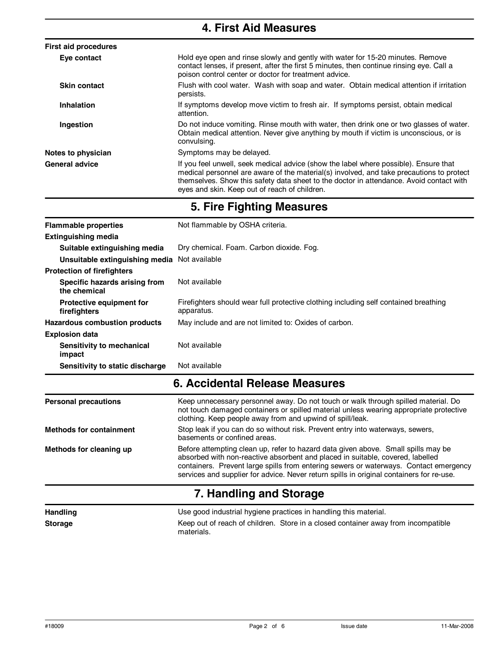| <b>4. First Aid Measures</b> |                                                                                                                                                                                                                                                                                                                              |  |
|------------------------------|------------------------------------------------------------------------------------------------------------------------------------------------------------------------------------------------------------------------------------------------------------------------------------------------------------------------------|--|
| <b>First aid procedures</b>  |                                                                                                                                                                                                                                                                                                                              |  |
| Eye contact                  | Hold eye open and rinse slowly and gently with water for 15-20 minutes. Remove<br>contact lenses, if present, after the first 5 minutes, then continue rinsing eye. Call a<br>poison control center or doctor for treatment advice.                                                                                          |  |
| <b>Skin contact</b>          | Flush with cool water. Wash with soap and water. Obtain medical attention if irritation<br>persists.                                                                                                                                                                                                                         |  |
| Inhalation                   | If symptoms develop move victim to fresh air. If symptoms persist, obtain medical<br>attention.                                                                                                                                                                                                                              |  |
| Ingestion                    | Do not induce vomiting. Rinse mouth with water, then drink one or two glasses of water.<br>Obtain medical attention. Never give anything by mouth if victim is unconscious, or is<br>convulsing.                                                                                                                             |  |
| Notes to physician           | Symptoms may be delayed.                                                                                                                                                                                                                                                                                                     |  |
| <b>General advice</b>        | If you feel unwell, seek medical advice (show the label where possible). Ensure that<br>medical personnel are aware of the material(s) involved, and take precautions to protect<br>themselves. Show this safety data sheet to the doctor in attendance. Avoid contact with<br>eyes and skin. Keep out of reach of children. |  |

|  | 5. Fire Fighting Measures |
|--|---------------------------|
|  |                           |

| <b>Flammable properties</b>                     | Not flammable by OSHA criteria.                                                                                                                                                                                                                                                                                                                          |  |  |
|-------------------------------------------------|----------------------------------------------------------------------------------------------------------------------------------------------------------------------------------------------------------------------------------------------------------------------------------------------------------------------------------------------------------|--|--|
| <b>Extinguishing media</b>                      |                                                                                                                                                                                                                                                                                                                                                          |  |  |
| Suitable extinguishing media                    | Dry chemical. Foam. Carbon dioxide. Fog.                                                                                                                                                                                                                                                                                                                 |  |  |
| Unsuitable extinguishing media Not available    |                                                                                                                                                                                                                                                                                                                                                          |  |  |
| <b>Protection of firefighters</b>               |                                                                                                                                                                                                                                                                                                                                                          |  |  |
| Specific hazards arising from<br>the chemical   | Not available                                                                                                                                                                                                                                                                                                                                            |  |  |
| <b>Protective equipment for</b><br>firefighters | Firefighters should wear full protective clothing including self contained breathing<br>apparatus.                                                                                                                                                                                                                                                       |  |  |
| Hazardous combustion products                   | May include and are not limited to: Oxides of carbon.                                                                                                                                                                                                                                                                                                    |  |  |
| <b>Explosion data</b>                           |                                                                                                                                                                                                                                                                                                                                                          |  |  |
| Sensitivity to mechanical<br>impact             | Not available                                                                                                                                                                                                                                                                                                                                            |  |  |
| Sensitivity to static discharge                 | Not available                                                                                                                                                                                                                                                                                                                                            |  |  |
|                                                 | 6. Accidental Release Measures                                                                                                                                                                                                                                                                                                                           |  |  |
| <b>Personal precautions</b>                     | Keep unnecessary personnel away. Do not touch or walk through spilled material. Do<br>not touch damaged containers or spilled material unless wearing appropriate protective<br>clothing. Keep people away from and upwind of spill/leak.                                                                                                                |  |  |
| <b>Methods for containment</b>                  | Stop leak if you can do so without risk. Prevent entry into waterways, sewers,<br>basements or confined areas.                                                                                                                                                                                                                                           |  |  |
| Methods for cleaning up                         | Before attempting clean up, refer to hazard data given above. Small spills may be<br>absorbed with non-reactive absorbent and placed in suitable, covered, labelled<br>containers. Prevent large spills from entering sewers or waterways. Contact emergency<br>services and supplier for advice. Never return spills in original containers for re-use. |  |  |

### **7. Handling and Storage**

| <b>Handling</b> | Use good industrial hygiene practices in handling this material.                                |  |
|-----------------|-------------------------------------------------------------------------------------------------|--|
| <b>Storage</b>  | Keep out of reach of children. Store in a closed container away from incompatible<br>materials. |  |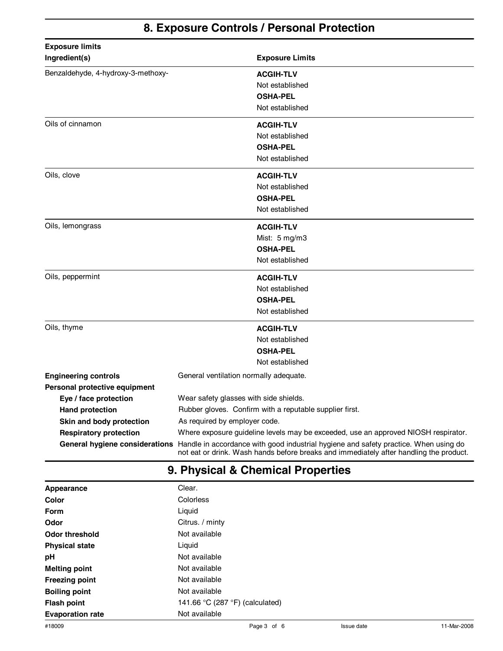### **8. Exposure Controls / Personal Protection**

| <b>Exposure limits</b>             |                                                                                                                                                                                                               |  |
|------------------------------------|---------------------------------------------------------------------------------------------------------------------------------------------------------------------------------------------------------------|--|
| Ingredient(s)                      | <b>Exposure Limits</b>                                                                                                                                                                                        |  |
| Benzaldehyde, 4-hydroxy-3-methoxy- | <b>ACGIH-TLV</b>                                                                                                                                                                                              |  |
|                                    | Not established                                                                                                                                                                                               |  |
|                                    | <b>OSHA-PEL</b>                                                                                                                                                                                               |  |
|                                    | Not established                                                                                                                                                                                               |  |
| Oils of cinnamon                   | <b>ACGIH-TLV</b>                                                                                                                                                                                              |  |
|                                    | Not established                                                                                                                                                                                               |  |
|                                    | <b>OSHA-PEL</b>                                                                                                                                                                                               |  |
|                                    | Not established                                                                                                                                                                                               |  |
| Oils, clove                        | <b>ACGIH-TLV</b>                                                                                                                                                                                              |  |
|                                    | Not established                                                                                                                                                                                               |  |
|                                    | <b>OSHA-PEL</b>                                                                                                                                                                                               |  |
|                                    | Not established                                                                                                                                                                                               |  |
| Oils, lemongrass                   | <b>ACGIH-TLV</b>                                                                                                                                                                                              |  |
|                                    | Mist: 5 mg/m3                                                                                                                                                                                                 |  |
|                                    | <b>OSHA-PEL</b>                                                                                                                                                                                               |  |
|                                    | Not established                                                                                                                                                                                               |  |
| Oils, peppermint                   | <b>ACGIH-TLV</b>                                                                                                                                                                                              |  |
|                                    | Not established                                                                                                                                                                                               |  |
|                                    | <b>OSHA-PEL</b>                                                                                                                                                                                               |  |
|                                    | Not established                                                                                                                                                                                               |  |
| Oils, thyme                        | <b>ACGIH-TLV</b>                                                                                                                                                                                              |  |
|                                    | Not established                                                                                                                                                                                               |  |
|                                    | <b>OSHA-PEL</b>                                                                                                                                                                                               |  |
|                                    | Not established                                                                                                                                                                                               |  |
| <b>Engineering controls</b>        | General ventilation normally adequate.                                                                                                                                                                        |  |
| Personal protective equipment      |                                                                                                                                                                                                               |  |
| Eye / face protection              | Wear safety glasses with side shields.                                                                                                                                                                        |  |
| <b>Hand protection</b>             | Rubber gloves. Confirm with a reputable supplier first.                                                                                                                                                       |  |
| Skin and body protection           | As required by employer code.                                                                                                                                                                                 |  |
| <b>Respiratory protection</b>      | Where exposure guideline levels may be exceeded, use an approved NIOSH respirator.                                                                                                                            |  |
|                                    | General hygiene considerations Handle in accordance with good industrial hygiene and safety practice. When using do<br>not eat or drink. Wash hands before breaks and immediately after handling the product. |  |

# **9. Physical & Chemical Properties**

| Appearance              | Clear.                          |
|-------------------------|---------------------------------|
| Color                   | Colorless                       |
| Form                    | Liquid                          |
| Odor                    | Citrus. / minty                 |
| Odor threshold          | Not available                   |
| <b>Physical state</b>   | Liquid                          |
| рH                      | Not available                   |
| <b>Melting point</b>    | Not available                   |
| <b>Freezing point</b>   | Not available                   |
| <b>Boiling point</b>    | Not available                   |
| <b>Flash point</b>      | 141.66 °C (287 °F) (calculated) |
| <b>Evaporation rate</b> | Not available                   |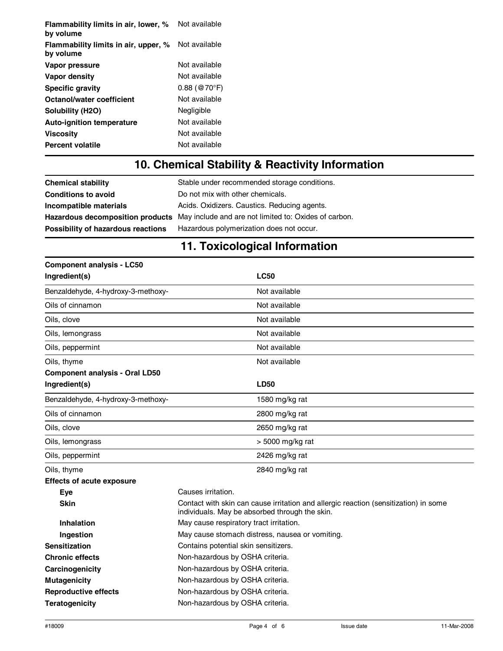| Flammability limits in air, lower, %<br>by volume | Not available                    |
|---------------------------------------------------|----------------------------------|
| Flammability limits in air, upper, %<br>by volume | Not available                    |
| Vapor pressure                                    | Not available                    |
| Vapor density                                     | Not available                    |
| <b>Specific gravity</b>                           | $0.88 \; (\circledR70^{\circ}F)$ |
| Octanol/water coefficient                         | Not available                    |
| Solubility (H <sub>2O</sub> )                     | Negligible                       |
| <b>Auto-ignition temperature</b>                  | Not available                    |
| Viscosity                                         | Not available                    |
| <b>Percent volatile</b>                           | Not available                    |

## **10. Chemical Stability & Reactivity Information**

| <b>Chemical stability</b>          | Stable under recommended storage conditions.                                           |
|------------------------------------|----------------------------------------------------------------------------------------|
| <b>Conditions to avoid</b>         | Do not mix with other chemicals.                                                       |
| Incompatible materials             | Acids. Oxidizers. Caustics. Reducing agents.                                           |
|                                    | Hazardous decomposition products May include and are not limited to: Oxides of carbon. |
| Possibility of hazardous reactions | Hazardous polymerization does not occur.                                               |
|                                    |                                                                                        |

### **11. Toxicological Information**

| <b>Component analysis - LC50</b>      |                                                                                                                                        |  |
|---------------------------------------|----------------------------------------------------------------------------------------------------------------------------------------|--|
| Ingredient(s)                         | <b>LC50</b>                                                                                                                            |  |
| Benzaldehyde, 4-hydroxy-3-methoxy-    | Not available                                                                                                                          |  |
| Oils of cinnamon                      | Not available                                                                                                                          |  |
| Oils, clove                           | Not available                                                                                                                          |  |
| Oils, lemongrass                      | Not available                                                                                                                          |  |
| Oils, peppermint                      | Not available                                                                                                                          |  |
| Oils, thyme                           | Not available                                                                                                                          |  |
| <b>Component analysis - Oral LD50</b> |                                                                                                                                        |  |
| Ingredient(s)                         | <b>LD50</b>                                                                                                                            |  |
| Benzaldehyde, 4-hydroxy-3-methoxy-    | 1580 mg/kg rat                                                                                                                         |  |
| Oils of cinnamon                      | 2800 mg/kg rat                                                                                                                         |  |
| Oils, clove                           | 2650 mg/kg rat                                                                                                                         |  |
| Oils, lemongrass                      | > 5000 mg/kg rat                                                                                                                       |  |
| Oils, peppermint                      | 2426 mg/kg rat                                                                                                                         |  |
| Oils, thyme                           | 2840 mg/kg rat                                                                                                                         |  |
| <b>Effects of acute exposure</b>      |                                                                                                                                        |  |
| Eye                                   | Causes irritation.                                                                                                                     |  |
| <b>Skin</b>                           | Contact with skin can cause irritation and allergic reaction (sensitization) in some<br>individuals. May be absorbed through the skin. |  |
| Inhalation                            | May cause respiratory tract irritation.                                                                                                |  |
| Ingestion                             | May cause stomach distress, nausea or vomiting.                                                                                        |  |
| <b>Sensitization</b>                  | Contains potential skin sensitizers.                                                                                                   |  |
| <b>Chronic effects</b>                | Non-hazardous by OSHA criteria.                                                                                                        |  |
| Carcinogenicity                       | Non-hazardous by OSHA criteria.                                                                                                        |  |
| <b>Mutagenicity</b>                   | Non-hazardous by OSHA criteria.                                                                                                        |  |
| <b>Reproductive effects</b>           | Non-hazardous by OSHA criteria.                                                                                                        |  |
| Teratogenicity                        | Non-hazardous by OSHA criteria.                                                                                                        |  |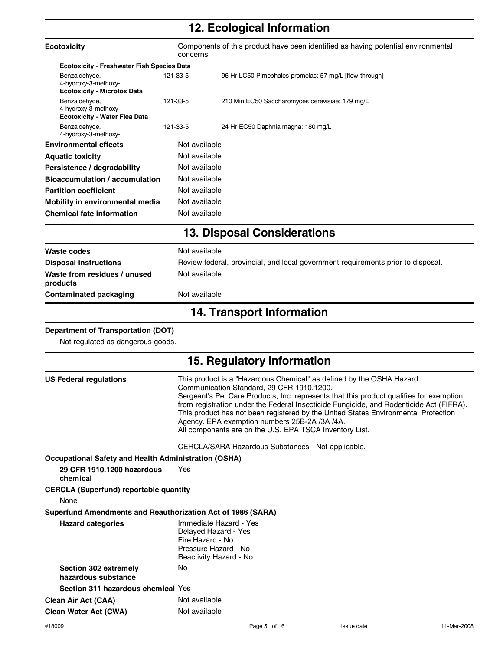## **12. Ecological Information**

| <b>Ecotoxicity</b>                                                                                    | Components of this product have been identified as having potential environmental<br>concerns.                                                                                                                                                                                                                                                                                                                                                                                                            |                                                                                  |  |
|-------------------------------------------------------------------------------------------------------|-----------------------------------------------------------------------------------------------------------------------------------------------------------------------------------------------------------------------------------------------------------------------------------------------------------------------------------------------------------------------------------------------------------------------------------------------------------------------------------------------------------|----------------------------------------------------------------------------------|--|
| <b>Ecotoxicity - Freshwater Fish Species Data</b>                                                     |                                                                                                                                                                                                                                                                                                                                                                                                                                                                                                           |                                                                                  |  |
| Benzaldehyde,<br>4-hydroxy-3-methoxy-<br><b>Ecotoxicity - Microtox Data</b>                           | 121-33-5                                                                                                                                                                                                                                                                                                                                                                                                                                                                                                  | 96 Hr LC50 Pimephales promelas: 57 mg/L [flow-through]                           |  |
| Benzaldehyde,<br>4-hydroxy-3-methoxy-<br><b>Ecotoxicity - Water Flea Data</b>                         | 121-33-5                                                                                                                                                                                                                                                                                                                                                                                                                                                                                                  | 210 Min EC50 Saccharomyces cerevisiae: 179 mg/L                                  |  |
| Benzaldehyde,<br>4-hydroxy-3-methoxy-                                                                 | 121-33-5                                                                                                                                                                                                                                                                                                                                                                                                                                                                                                  | 24 Hr EC50 Daphnia magna: 180 mg/L                                               |  |
| <b>Environmental effects</b>                                                                          | Not available                                                                                                                                                                                                                                                                                                                                                                                                                                                                                             |                                                                                  |  |
| <b>Aquatic toxicity</b>                                                                               | Not available                                                                                                                                                                                                                                                                                                                                                                                                                                                                                             |                                                                                  |  |
| Persistence / degradability                                                                           | Not available                                                                                                                                                                                                                                                                                                                                                                                                                                                                                             |                                                                                  |  |
| <b>Bioaccumulation / accumulation</b>                                                                 | Not available                                                                                                                                                                                                                                                                                                                                                                                                                                                                                             |                                                                                  |  |
| <b>Partition coefficient</b>                                                                          | Not available                                                                                                                                                                                                                                                                                                                                                                                                                                                                                             |                                                                                  |  |
| Mobility in environmental media                                                                       | Not available                                                                                                                                                                                                                                                                                                                                                                                                                                                                                             |                                                                                  |  |
| <b>Chemical fate information</b>                                                                      | Not available                                                                                                                                                                                                                                                                                                                                                                                                                                                                                             |                                                                                  |  |
|                                                                                                       |                                                                                                                                                                                                                                                                                                                                                                                                                                                                                                           | <b>13. Disposal Considerations</b>                                               |  |
| Waste codes                                                                                           | Not available                                                                                                                                                                                                                                                                                                                                                                                                                                                                                             |                                                                                  |  |
| <b>Disposal instructions</b>                                                                          |                                                                                                                                                                                                                                                                                                                                                                                                                                                                                                           | Review federal, provincial, and local government requirements prior to disposal. |  |
| Waste from residues / unused<br>products                                                              | Not available                                                                                                                                                                                                                                                                                                                                                                                                                                                                                             |                                                                                  |  |
| <b>Contaminated packaging</b>                                                                         | Not available                                                                                                                                                                                                                                                                                                                                                                                                                                                                                             |                                                                                  |  |
|                                                                                                       |                                                                                                                                                                                                                                                                                                                                                                                                                                                                                                           | <b>14. Transport Information</b>                                                 |  |
| <b>Department of Transportation (DOT)</b><br>Not regulated as dangerous goods.                        |                                                                                                                                                                                                                                                                                                                                                                                                                                                                                                           |                                                                                  |  |
|                                                                                                       |                                                                                                                                                                                                                                                                                                                                                                                                                                                                                                           | 15. Regulatory Information                                                       |  |
| <b>US Federal regulations</b>                                                                         | This product is a "Hazardous Chemical" as defined by the OSHA Hazard<br>Communication Standard, 29 CFR 1910.1200.<br>Sergeant's Pet Care Products, Inc. represents that this product qualifies for exemption<br>from registration under the Federal Insecticide Fungicide, and Rodenticide Act (FIFRA).<br>This product has not been registered by the United States Environmental Protection<br>Agency. EPA exemption numbers 25B-2A /3A /4A.<br>All components are on the U.S. EPA TSCA Inventory List. |                                                                                  |  |
|                                                                                                       |                                                                                                                                                                                                                                                                                                                                                                                                                                                                                                           | CERCLA/SARA Hazardous Substances - Not applicable.                               |  |
| <b>Occupational Safety and Health Administration (OSHA)</b><br>29 CFR 1910.1200 hazardous<br>chemical | Yes                                                                                                                                                                                                                                                                                                                                                                                                                                                                                                       |                                                                                  |  |
| <b>CERCLA (Superfund) reportable quantity</b><br>None                                                 |                                                                                                                                                                                                                                                                                                                                                                                                                                                                                                           |                                                                                  |  |
| Superfund Amendments and Reauthorization Act of 1986 (SARA)                                           |                                                                                                                                                                                                                                                                                                                                                                                                                                                                                                           |                                                                                  |  |
| <b>Hazard categories</b>                                                                              | Fire Hazard - No<br>Pressure Hazard - No                                                                                                                                                                                                                                                                                                                                                                                                                                                                  | Immediate Hazard - Yes<br>Delayed Hazard - Yes<br>Reactivity Hazard - No         |  |
| Section 302 extremely<br>hazardous substance                                                          | No                                                                                                                                                                                                                                                                                                                                                                                                                                                                                                        |                                                                                  |  |
| Section 311 hazardous chemical Yes                                                                    |                                                                                                                                                                                                                                                                                                                                                                                                                                                                                                           |                                                                                  |  |
| <b>Clean Air Act (CAA)</b>                                                                            | Not available                                                                                                                                                                                                                                                                                                                                                                                                                                                                                             |                                                                                  |  |
| <b>Clean Water Act (CWA)</b>                                                                          | Not available                                                                                                                                                                                                                                                                                                                                                                                                                                                                                             |                                                                                  |  |